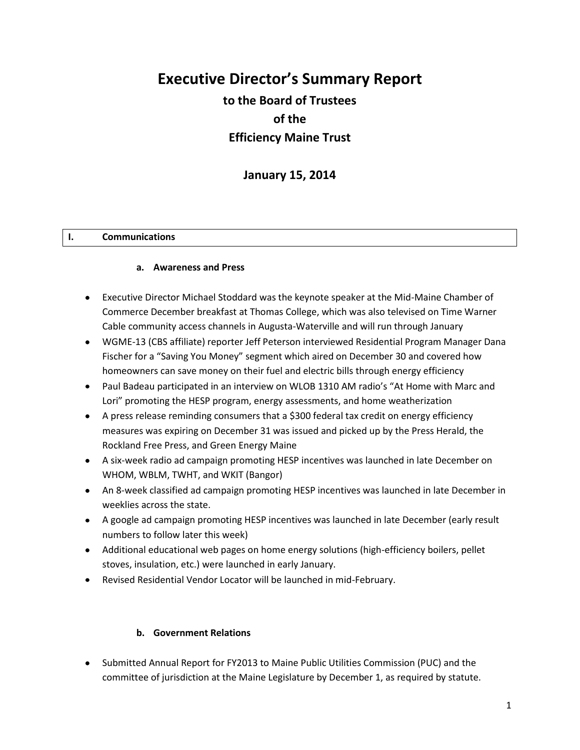# **Executive Director's Summary Report to the Board of Trustees of the Efficiency Maine Trust**

**January 15, 2014**

#### **I. Communications**

#### **a. Awareness and Press**

- Executive Director Michael Stoddard was the keynote speaker at the Mid-Maine Chamber of Commerce December breakfast at Thomas College, which was also televised on Time Warner Cable community access channels in Augusta-Waterville and will run through January
- WGME-13 (CBS affiliate) reporter Jeff Peterson interviewed Residential Program Manager Dana Fischer for a "Saving You Money" segment which aired on December 30 and covered how homeowners can save money on their fuel and electric bills through energy efficiency
- Paul Badeau participated in an interview on WLOB 1310 AM radio's "At Home with Marc and Lori" promoting the HESP program, energy assessments, and home weatherization
- A press release reminding consumers that a \$300 federal tax credit on energy efficiency measures was expiring on December 31 was issued and picked up by the Press Herald, the Rockland Free Press, and Green Energy Maine
- A six-week radio ad campaign promoting HESP incentives was launched in late December on WHOM, WBLM, TWHT, and WKIT (Bangor)
- An 8-week classified ad campaign promoting HESP incentives was launched in late December in weeklies across the state.
- A google ad campaign promoting HESP incentives was launched in late December (early result numbers to follow later this week)
- Additional educational web pages on home energy solutions (high-efficiency boilers, pellet stoves, insulation, etc.) were launched in early January.
- Revised Residential Vendor Locator will be launched in mid-February.

#### **b. Government Relations**

Submitted Annual Report for FY2013 to Maine Public Utilities Commission (PUC) and the committee of jurisdiction at the Maine Legislature by December 1, as required by statute.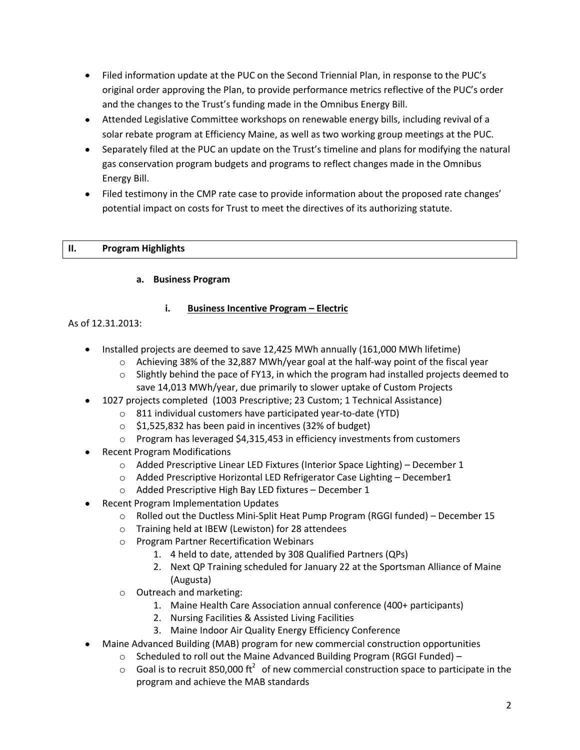- Filed information update at the PUC on the Second Triennial Plan, in response to the PUC's original order approving the Plan, to provide performance metrics reflective of the PUC's order and the changes to the Trust's funding made in the Omnibus Energy Bill.
- Attended Legislative Committee workshops on renewable energy bills, including revival of a solar rebate program at Efficiency Maine, as well as two working group meetings at the PUC.
- Separately filed at the PUC an update on the Trust's timeline and plans for modifying the natural gas conservation program budgets and programs to reflect changes made in the Omnibus Energy Bill.
- Filed testimony in the CMP rate case to provide information about the proposed rate changes' potential impact on costs for Trust to meet the directives of its authorizing statute.

# **II. Program Highlights**

## **a. Business Program**

# **i. Business Incentive Program – Electric**

# As of 12.31.2013:

- Installed projects are deemed to save 12,425 MWh annually (161,000 MWh lifetime)
	- $\circ$  Achieving 38% of the 32,887 MWh/year goal at the half-way point of the fiscal year
	- $\circ$  Slightly behind the pace of FY13, in which the program had installed projects deemed to save 14,013 MWh/year, due primarily to slower uptake of Custom Projects
- 1027 projects completed (1003 Prescriptive; 23 Custom; 1 Technical Assistance)
	- o 811 individual customers have participated year-to-date (YTD)
	- o \$1,525,832 has been paid in incentives (32% of budget)
	- o Program has leveraged \$4,315,453 in efficiency investments from customers
- Recent Program Modifications
	- $\circ$  Added Prescriptive Linear LED Fixtures (Interior Space Lighting) December 1
	- o Added Prescriptive Horizontal LED Refrigerator Case Lighting December1
	- o Added Prescriptive High Bay LED fixtures December 1
- Recent Program Implementation Updates
	- $\circ$  Rolled out the Ductless Mini-Split Heat Pump Program (RGGI funded) December 15
	- o Training held at IBEW (Lewiston) for 28 attendees
	- o Program Partner Recertification Webinars
		- 1. 4 held to date, attended by 308 Qualified Partners (QPs)
		- 2. Next QP Training scheduled for January 22 at the Sportsman Alliance of Maine (Augusta)
	- o Outreach and marketing:
		- 1. Maine Health Care Association annual conference (400+ participants)
		- 2. Nursing Facilities & Assisted Living Facilities
		- 3. Maine Indoor Air Quality Energy Efficiency Conference
- Maine Advanced Building (MAB) program for new commercial construction opportunities
	- o Scheduled to roll out the Maine Advanced Building Program (RGGI Funded) –
	- $\circ$  Goal is to recruit 850,000 ft<sup>2</sup> of new commercial construction space to participate in the program and achieve the MAB standards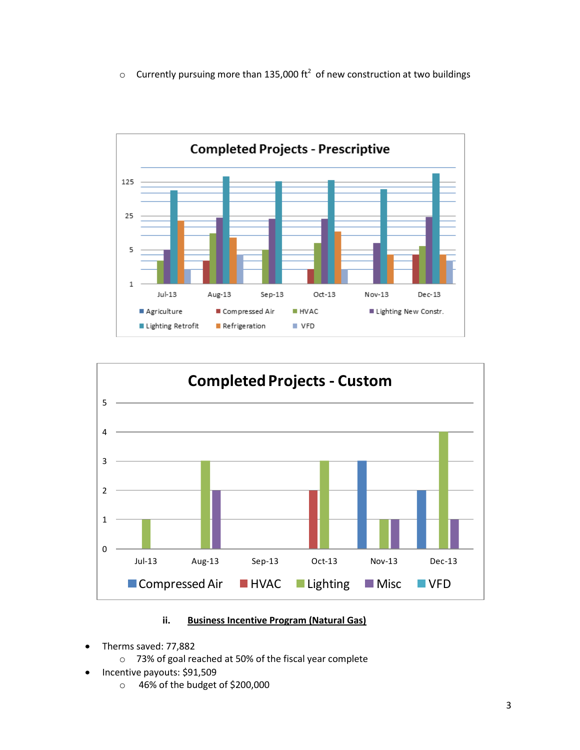$\circ$  Currently pursuing more than 135,000 ft<sup>2</sup> of new construction at two buildings





# **ii. Business Incentive Program (Natural Gas)**

- Therms saved: 77,882
	- o 73% of goal reached at 50% of the fiscal year complete
- Incentive payouts: \$91,509
	- o 46% of the budget of \$200,000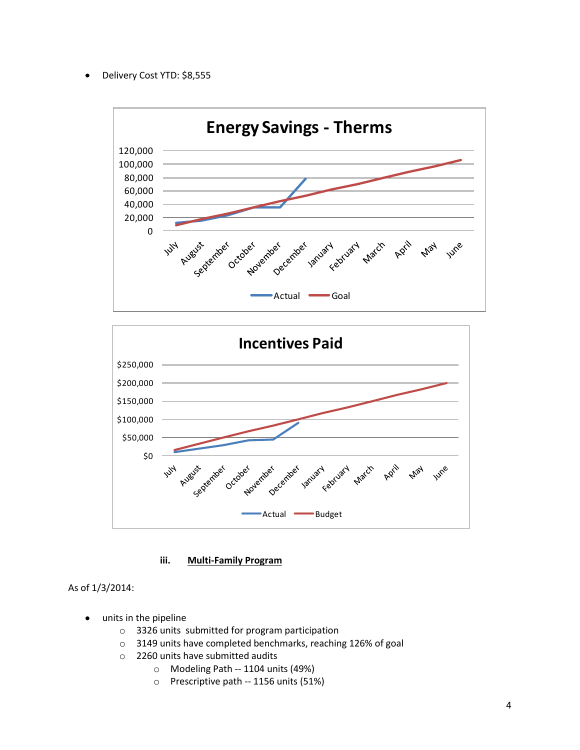Delivery Cost YTD: \$8,555



**iii. Multi-Family Program**

As of 1/3/2014:

- units in the pipeline
	- o 3326 units submitted for program participation
	- o 3149 units have completed benchmarks, reaching 126% of goal
	- o 2260 units have submitted audits
		- o Modeling Path -- 1104 units (49%)
		- o Prescriptive path -- 1156 units (51%)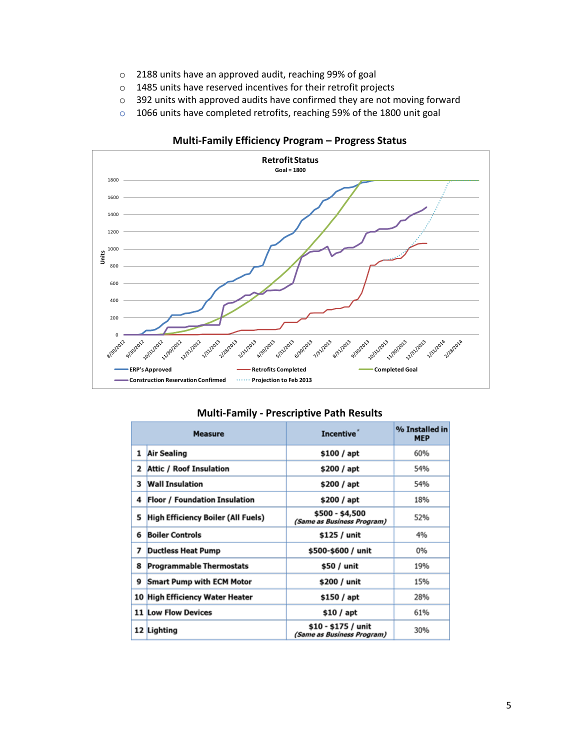- o 2188 units have an approved audit, reaching 99% of goal
- o 1485 units have reserved incentives for their retrofit projects
- o 392 units with approved audits have confirmed they are not moving forward
- o 1066 units have completed retrofits, reaching 59% of the 1800 unit goal



#### **Multi-Family Efficiency Program – Progress Status**

| <b>Measure</b> |                                           | Incentive <sup>"</sup>                            | % Installed in<br><b>MEP</b> |
|----------------|-------------------------------------------|---------------------------------------------------|------------------------------|
| 1              | <b>Air Sealing</b>                        | \$100 / apt                                       | 60%                          |
| 2              | <b>Attic / Roof Insulation</b>            | \$200 / apt                                       | 54%                          |
| 3              | <b>Wall Insulation</b>                    | \$200 / apt                                       | 54%                          |
| 4              | <b>Floor / Foundation Insulation</b>      | \$200 / apt                                       | 18%                          |
| 5              | <b>High Efficiency Boiler (All Fuels)</b> | \$500 - \$4,500<br>(Same as Business Program)     | 52%                          |
| 6              | <b>Boiler Controls</b>                    | \$125 / unit                                      | 4%                           |
| 7              | <b>Ductless Heat Pump</b>                 | \$500-\$600 / unit                                | 0%                           |
| 8              | <b>Programmable Thermostats</b>           | \$50 / unit                                       | 19%                          |
| 9              | <b>Smart Pump with ECM Motor</b>          | \$200 / unit                                      | 15%                          |
|                | 10 High Efficiency Water Heater           | \$150 / apt                                       | 28%                          |
|                | <b>11 Low Flow Devices</b>                | \$10 / apt                                        | 61%                          |
|                | 12 Lighting                               | \$10 - \$175 / unit<br>(Same as Business Program) | 30%                          |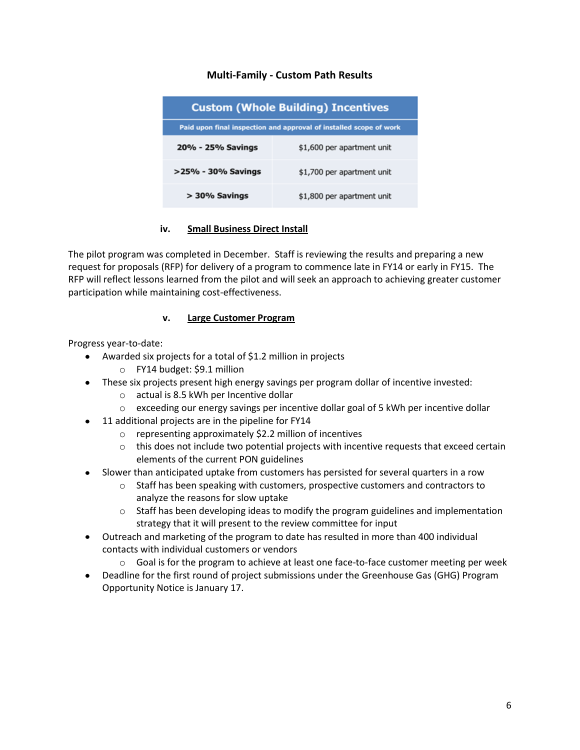# **Multi-Family - Custom Path Results**

| <b>Custom (Whole Building) Incentives</b>                          |                            |  |  |
|--------------------------------------------------------------------|----------------------------|--|--|
| Paid upon final inspection and approval of installed scope of work |                            |  |  |
| 20% - 25% Savings                                                  | \$1,600 per apartment unit |  |  |
| >25% - 30% Savings                                                 | \$1,700 per apartment unit |  |  |
| $>$ 30% Savings                                                    | \$1,800 per apartment unit |  |  |

## **iv. Small Business Direct Install**

The pilot program was completed in December. Staff is reviewing the results and preparing a new request for proposals (RFP) for delivery of a program to commence late in FY14 or early in FY15. The RFP will reflect lessons learned from the pilot and will seek an approach to achieving greater customer participation while maintaining cost-effectiveness.

#### **v. Large Customer Program**

Progress year-to-date:

- Awarded six projects for a total of \$1.2 million in projects  $\bullet$ 
	- o FY14 budget: \$9.1 million
- These six projects present high energy savings per program dollar of incentive invested:
	- o actual is 8.5 kWh per Incentive dollar
	- $\circ$  exceeding our energy savings per incentive dollar goal of 5 kWh per incentive dollar
- 11 additional projects are in the pipeline for FY14
	- o representing approximately \$2.2 million of incentives
	- $\circ$  this does not include two potential projects with incentive requests that exceed certain elements of the current PON guidelines
- Slower than anticipated uptake from customers has persisted for several quarters in a row
	- $\circ$  Staff has been speaking with customers, prospective customers and contractors to analyze the reasons for slow uptake
	- $\circ$  Staff has been developing ideas to modify the program guidelines and implementation strategy that it will present to the review committee for input
- Outreach and marketing of the program to date has resulted in more than 400 individual  $\bullet$ contacts with individual customers or vendors
	- $\circ$  Goal is for the program to achieve at least one face-to-face customer meeting per week
- Deadline for the first round of project submissions under the Greenhouse Gas (GHG) Program Opportunity Notice is January 17.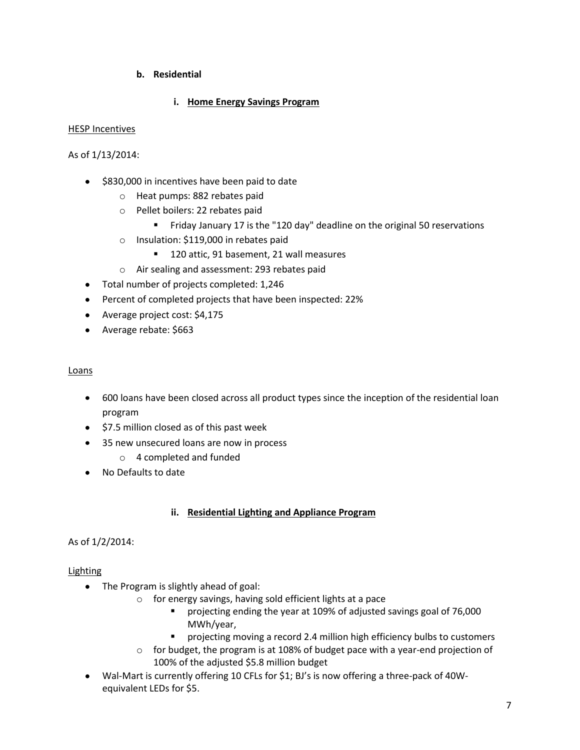# **b. Residential**

## **i. Home Energy Savings Program**

#### HESP Incentives

As of 1/13/2014:

- $\bullet$  \$830,000 in incentives have been paid to date
	- o Heat pumps: 882 rebates paid
	- o Pellet boilers: 22 rebates paid
		- **Firiday January 17 is the "120 day" deadline on the original 50 reservations**
	- o Insulation: \$119,000 in rebates paid
		- 120 attic, 91 basement, 21 wall measures
	- o Air sealing and assessment: 293 rebates paid
- Total number of projects completed: 1,246
- Percent of completed projects that have been inspected: 22%
- Average project cost: \$4,175
- Average rebate: \$663

#### Loans

- 600 loans have been closed across all product types since the inception of the residential loan program
- \$7.5 million closed as of this past week
- 35 new unsecured loans are now in process
	- o 4 completed and funded
- No Defaults to date

#### **ii. Residential Lighting and Appliance Program**

#### As of 1/2/2014:

#### Lighting

- The Program is slightly ahead of goal:
	- o for energy savings, having sold efficient lights at a pace
		- projecting ending the year at 109% of adjusted savings goal of 76,000 MWh/year,
		- projecting moving a record 2.4 million high efficiency bulbs to customers
	- $\circ$  for budget, the program is at 108% of budget pace with a year-end projection of 100% of the adjusted \$5.8 million budget
- Wal-Mart is currently offering 10 CFLs for \$1; BJ's is now offering a three-pack of 40W- $\bullet$ equivalent LEDs for \$5.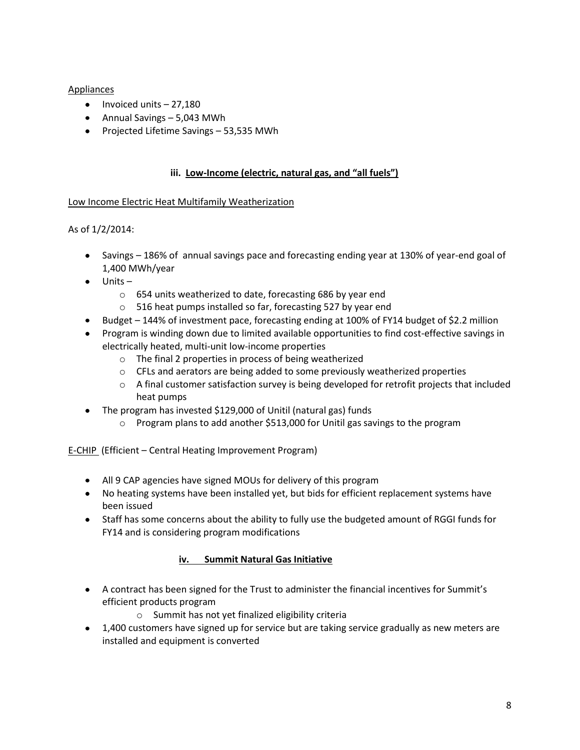# Appliances

- $\bullet$  Invoiced units  $-27,180$
- Annual Savings 5,043 MWh
- Projected Lifetime Savings 53,535 MWh

## **iii. Low-Income (electric, natural gas, and "all fuels")**

## Low Income Electric Heat Multifamily Weatherization

# As of 1/2/2014:

- Savings 186% of annual savings pace and forecasting ending year at 130% of year-end goal of 1,400 MWh/year
- $\bullet$  Units
	- o 654 units weatherized to date, forecasting 686 by year end
	- o 516 heat pumps installed so far, forecasting 527 by year end
- Budget 144% of investment pace, forecasting ending at 100% of FY14 budget of \$2.2 million
- Program is winding down due to limited available opportunities to find cost-effective savings in electrically heated, multi-unit low-income properties
	- o The final 2 properties in process of being weatherized
	- $\circ$  CFLs and aerators are being added to some previously weatherized properties
	- $\circ$  A final customer satisfaction survey is being developed for retrofit projects that included heat pumps
- The program has invested \$129,000 of Unitil (natural gas) funds
	- $\circ$  Program plans to add another \$513,000 for Unitil gas savings to the program

E-CHIP (Efficient – Central Heating Improvement Program)

- All 9 CAP agencies have signed MOUs for delivery of this program
- No heating systems have been installed yet, but bids for efficient replacement systems have been issued
- Staff has some concerns about the ability to fully use the budgeted amount of RGGI funds for FY14 and is considering program modifications

# **iv. Summit Natural Gas Initiative**

- A contract has been signed for the Trust to administer the financial incentives for Summit's efficient products program
	- o Summit has not yet finalized eligibility criteria
- 1,400 customers have signed up for service but are taking service gradually as new meters are installed and equipment is converted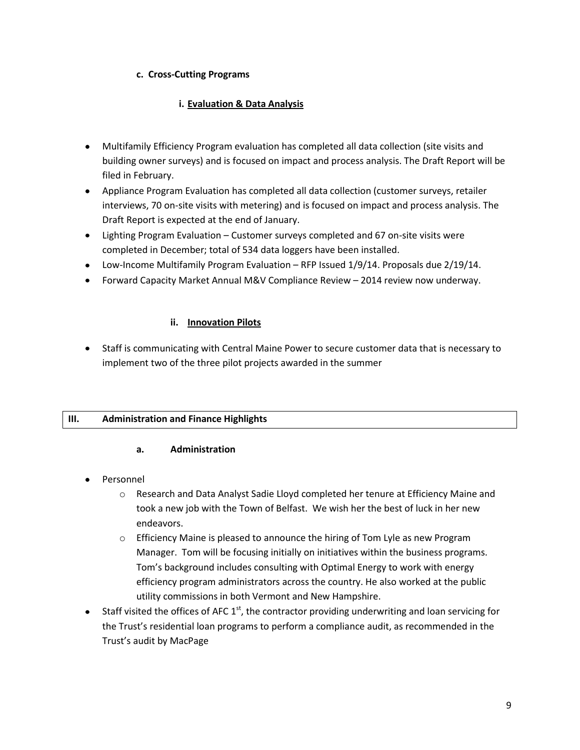## **c. Cross-Cutting Programs**

# **i. Evaluation & Data Analysis**

- Multifamily Efficiency Program evaluation has completed all data collection (site visits and building owner surveys) and is focused on impact and process analysis. The Draft Report will be filed in February.
- Appliance Program Evaluation has completed all data collection (customer surveys, retailer interviews, 70 on-site visits with metering) and is focused on impact and process analysis. The Draft Report is expected at the end of January.
- Lighting Program Evaluation Customer surveys completed and 67 on-site visits were completed in December; total of 534 data loggers have been installed.
- Low-Income Multifamily Program Evaluation RFP Issued 1/9/14. Proposals due 2/19/14.
- Forward Capacity Market Annual M&V Compliance Review 2014 review now underway.

# **ii. Innovation Pilots**

Staff is communicating with Central Maine Power to secure customer data that is necessary to implement two of the three pilot projects awarded in the summer

# **III. Administration and Finance Highlights**

#### **a. Administration**

- Personnel
	- o Research and Data Analyst Sadie Lloyd completed her tenure at Efficiency Maine and took a new job with the Town of Belfast. We wish her the best of luck in her new endeavors.
	- $\circ$  Efficiency Maine is pleased to announce the hiring of Tom Lyle as new Program Manager. Tom will be focusing initially on initiatives within the business programs. Tom's background includes consulting with Optimal Energy to work with energy efficiency program administrators across the country. He also worked at the public utility commissions in both Vermont and New Hampshire.
- Staff visited the offices of AFC  $1<sup>st</sup>$ , the contractor providing underwriting and loan servicing for the Trust's residential loan programs to perform a compliance audit, as recommended in the Trust's audit by MacPage